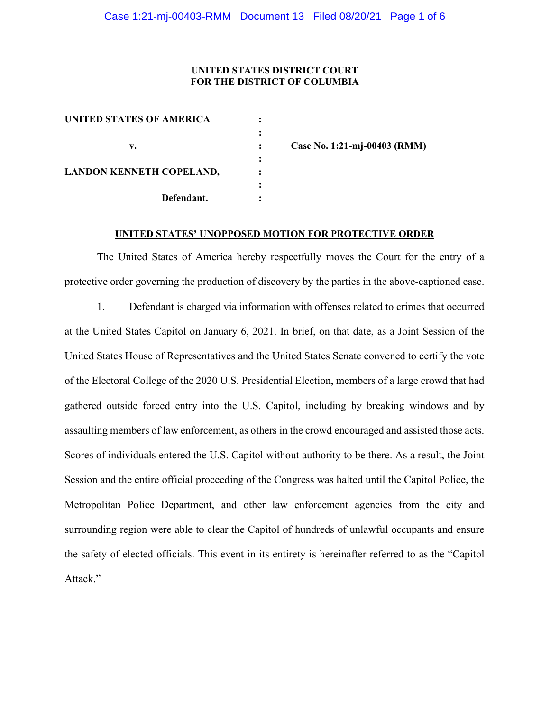#### UNITED STATES DISTRICT COURT FOR THE DISTRICT OF COLUMBIA

| <b>UNITED STATES OF AMERICA</b> |  |
|---------------------------------|--|
|                                 |  |
| v.                              |  |
|                                 |  |
| <b>LANDON KENNETH COPELAND,</b> |  |
|                                 |  |
| Defendant.                      |  |
|                                 |  |

Case No. 1:21-mj-00403 (RMM)

### UNITED STATES' UNOPPOSED MOTION FOR PROTECTIVE ORDER

The United States of America hereby respectfully moves the Court for the entry of a protective order governing the production of discovery by the parties in the above-captioned case.

1. Defendant is charged via information with offenses related to crimes that occurred at the United States Capitol on January 6, 2021. In brief, on that date, as a Joint Session of the United States House of Representatives and the United States Senate convened to certify the vote of the Electoral College of the 2020 U.S. Presidential Election, members of a large crowd that had gathered outside forced entry into the U.S. Capitol, including by breaking windows and by assaulting members of law enforcement, as others in the crowd encouraged and assisted those acts. Scores of individuals entered the U.S. Capitol without authority to be there. As a result, the Joint Session and the entire official proceeding of the Congress was halted until the Capitol Police, the Metropolitan Police Department, and other law enforcement agencies from the city and surrounding region were able to clear the Capitol of hundreds of unlawful occupants and ensure the safety of elected officials. This event in its entirety is hereinafter referred to as the "Capitol Attack."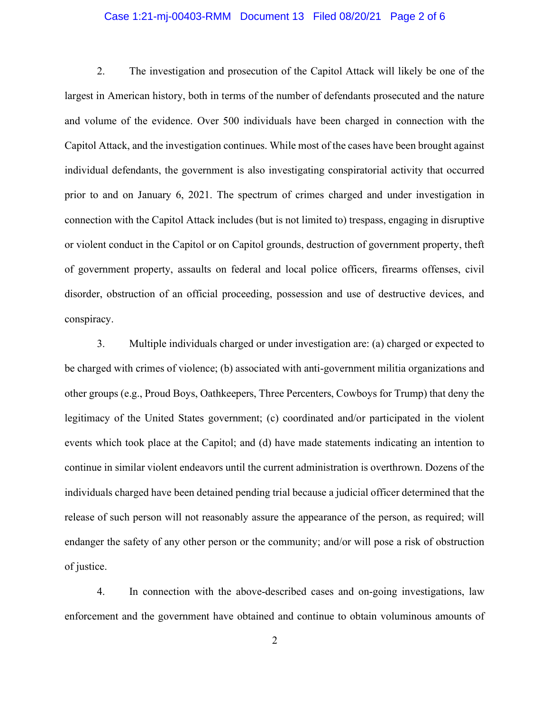### Case 1:21-mj-00403-RMM Document 13 Filed 08/20/21 Page 2 of 6

2. The investigation and prosecution of the Capitol Attack will likely be one of the largest in American history, both in terms of the number of defendants prosecuted and the nature and volume of the evidence. Over 500 individuals have been charged in connection with the Capitol Attack, and the investigation continues. While most of the cases have been brought against individual defendants, the government is also investigating conspiratorial activity that occurred prior to and on January 6, 2021. The spectrum of crimes charged and under investigation in connection with the Capitol Attack includes (but is not limited to) trespass, engaging in disruptive or violent conduct in the Capitol or on Capitol grounds, destruction of government property, theft of government property, assaults on federal and local police officers, firearms offenses, civil disorder, obstruction of an official proceeding, possession and use of destructive devices, and conspiracy.

3. Multiple individuals charged or under investigation are: (a) charged or expected to be charged with crimes of violence; (b) associated with anti-government militia organizations and other groups (e.g., Proud Boys, Oathkeepers, Three Percenters, Cowboys for Trump) that deny the legitimacy of the United States government; (c) coordinated and/or participated in the violent events which took place at the Capitol; and (d) have made statements indicating an intention to continue in similar violent endeavors until the current administration is overthrown. Dozens of the individuals charged have been detained pending trial because a judicial officer determined that the release of such person will not reasonably assure the appearance of the person, as required; will endanger the safety of any other person or the community; and/or will pose a risk of obstruction of justice.

4. In connection with the above-described cases and on-going investigations, law enforcement and the government have obtained and continue to obtain voluminous amounts of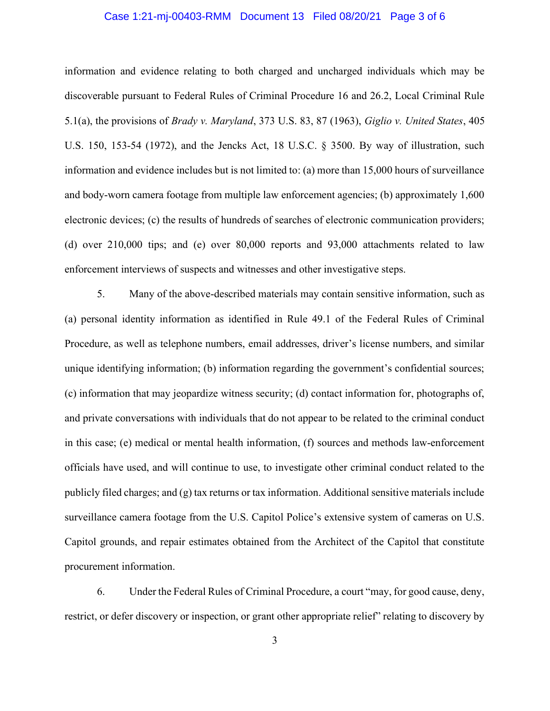### Case 1:21-mj-00403-RMM Document 13 Filed 08/20/21 Page 3 of 6

information and evidence relating to both charged and uncharged individuals which may be discoverable pursuant to Federal Rules of Criminal Procedure 16 and 26.2, Local Criminal Rule 5.1(a), the provisions of Brady v. Maryland, 373 U.S. 83, 87 (1963), Giglio v. United States, 405 U.S. 150, 153-54 (1972), and the Jencks Act, 18 U.S.C. § 3500. By way of illustration, such information and evidence includes but is not limited to: (a) more than 15,000 hours of surveillance and body-worn camera footage from multiple law enforcement agencies; (b) approximately 1,600 electronic devices; (c) the results of hundreds of searches of electronic communication providers; (d) over 210,000 tips; and (e) over 80,000 reports and 93,000 attachments related to law enforcement interviews of suspects and witnesses and other investigative steps.

5. Many of the above-described materials may contain sensitive information, such as (a) personal identity information as identified in Rule 49.1 of the Federal Rules of Criminal Procedure, as well as telephone numbers, email addresses, driver's license numbers, and similar unique identifying information; (b) information regarding the government's confidential sources; (c) information that may jeopardize witness security; (d) contact information for, photographs of, and private conversations with individuals that do not appear to be related to the criminal conduct in this case; (e) medical or mental health information, (f) sources and methods law-enforcement officials have used, and will continue to use, to investigate other criminal conduct related to the publicly filed charges; and (g) tax returns or tax information. Additional sensitive materials include surveillance camera footage from the U.S. Capitol Police's extensive system of cameras on U.S. Capitol grounds, and repair estimates obtained from the Architect of the Capitol that constitute procurement information.

6. Under the Federal Rules of Criminal Procedure, a court "may, for good cause, deny, restrict, or defer discovery or inspection, or grant other appropriate relief" relating to discovery by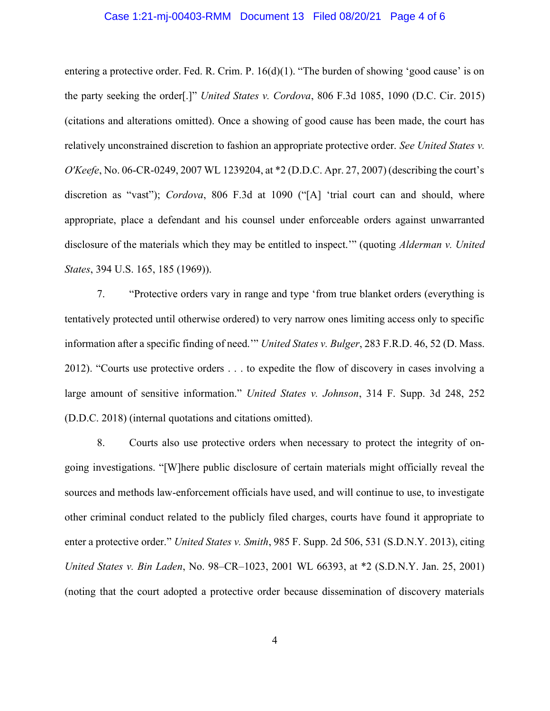#### Case 1:21-mj-00403-RMM Document 13 Filed 08/20/21 Page 4 of 6

entering a protective order. Fed. R. Crim. P. 16(d)(1). "The burden of showing 'good cause' is on the party seeking the order[.]" United States v. Cordova, 806 F.3d 1085, 1090 (D.C. Cir. 2015) (citations and alterations omitted). Once a showing of good cause has been made, the court has relatively unconstrained discretion to fashion an appropriate protective order. See United States v. O'Keefe, No. 06-CR-0249, 2007 WL 1239204, at \*2 (D.D.C. Apr. 27, 2007) (describing the court's discretion as "vast"); *Cordova*, 806 F.3d at 1090 ("[A] 'trial court can and should, where appropriate, place a defendant and his counsel under enforceable orders against unwarranted disclosure of the materials which they may be entitled to inspect." (quoting *Alderman v. United* States, 394 U.S. 165, 185 (1969)).

7. "Protective orders vary in range and type 'from true blanket orders (everything is tentatively protected until otherwise ordered) to very narrow ones limiting access only to specific information after a specific finding of need.'" United States v. Bulger, 283 F.R.D. 46, 52 (D. Mass. 2012). "Courts use protective orders . . . to expedite the flow of discovery in cases involving a large amount of sensitive information." United States v. Johnson, 314 F. Supp. 3d 248, 252 (D.D.C. 2018) (internal quotations and citations omitted).

8. Courts also use protective orders when necessary to protect the integrity of ongoing investigations. "[W]here public disclosure of certain materials might officially reveal the sources and methods law-enforcement officials have used, and will continue to use, to investigate other criminal conduct related to the publicly filed charges, courts have found it appropriate to enter a protective order." United States v. Smith, 985 F. Supp. 2d 506, 531 (S.D.N.Y. 2013), citing United States v. Bin Laden, No. 98–CR–1023, 2001 WL 66393, at \*2 (S.D.N.Y. Jan. 25, 2001) (noting that the court adopted a protective order because dissemination of discovery materials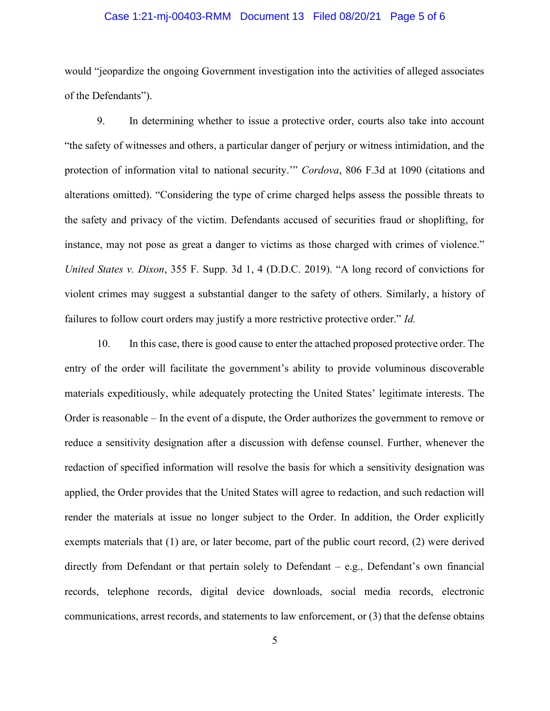### Case 1:21-mj-00403-RMM Document 13 Filed 08/20/21 Page 5 of 6

would "jeopardize the ongoing Government investigation into the activities of alleged associates of the Defendants").

9. In determining whether to issue a protective order, courts also take into account "the safety of witnesses and others, a particular danger of perjury or witness intimidation, and the protection of information vital to national security." Cordova, 806 F.3d at 1090 (citations and alterations omitted). "Considering the type of crime charged helps assess the possible threats to the safety and privacy of the victim. Defendants accused of securities fraud or shoplifting, for instance, may not pose as great a danger to victims as those charged with crimes of violence." United States v. Dixon, 355 F. Supp. 3d 1, 4 (D.D.C. 2019). "A long record of convictions for violent crimes may suggest a substantial danger to the safety of others. Similarly, a history of failures to follow court orders may justify a more restrictive protective order." Id.

10. In this case, there is good cause to enter the attached proposed protective order. The entry of the order will facilitate the government's ability to provide voluminous discoverable materials expeditiously, while adequately protecting the United States' legitimate interests. The Order is reasonable – In the event of a dispute, the Order authorizes the government to remove or reduce a sensitivity designation after a discussion with defense counsel. Further, whenever the redaction of specified information will resolve the basis for which a sensitivity designation was applied, the Order provides that the United States will agree to redaction, and such redaction will render the materials at issue no longer subject to the Order. In addition, the Order explicitly exempts materials that (1) are, or later become, part of the public court record, (2) were derived directly from Defendant or that pertain solely to Defendant – e.g., Defendant's own financial records, telephone records, digital device downloads, social media records, electronic communications, arrest records, and statements to law enforcement, or (3) that the defense obtains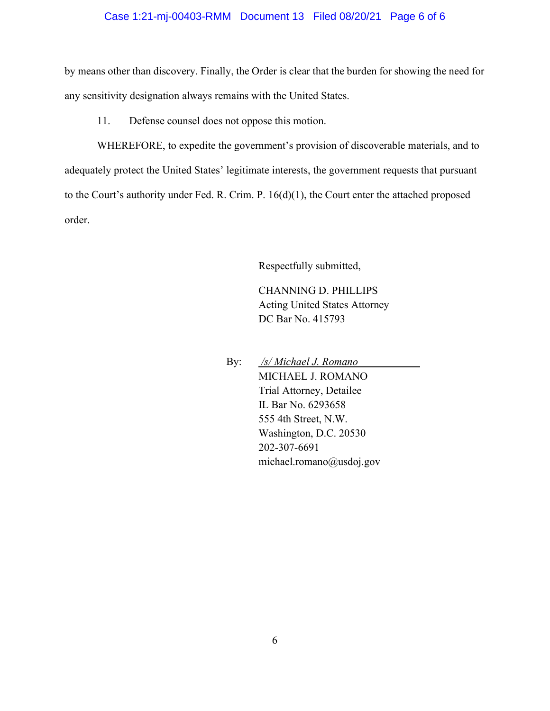### Case 1:21-mj-00403-RMM Document 13 Filed 08/20/21 Page 6 of 6

by means other than discovery. Finally, the Order is clear that the burden for showing the need for any sensitivity designation always remains with the United States.

11. Defense counsel does not oppose this motion.

WHEREFORE, to expedite the government's provision of discoverable materials, and to adequately protect the United States' legitimate interests, the government requests that pursuant to the Court's authority under Fed. R. Crim. P. 16(d)(1), the Court enter the attached proposed order.

Respectfully submitted,

CHANNING D. PHILLIPS Acting United States Attorney DC Bar No. 415793

By: /s/ Michael J. Romano MICHAEL J. ROMANO Trial Attorney, Detailee IL Bar No. 6293658 555 4th Street, N.W. Washington, D.C. 20530 202-307-6691 michael.romano@usdoj.gov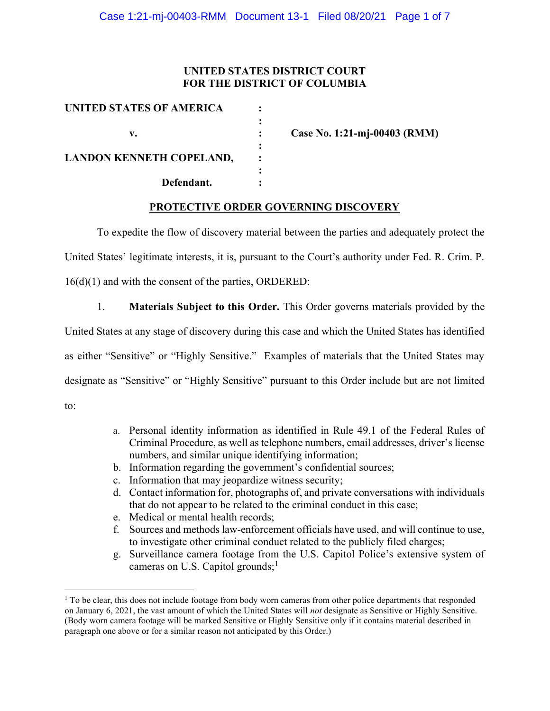## UNITED STATES DISTRICT COURT FOR THE DISTRICT OF COLUMBIA

| UNITED STATES OF AMERICA        |  |
|---------------------------------|--|
|                                 |  |
| v.                              |  |
|                                 |  |
| <b>LANDON KENNETH COPELAND,</b> |  |
|                                 |  |
| Defendant.                      |  |
|                                 |  |

Case No. 1:21-mj-00403 (RMM)

# PROTECTIVE ORDER GOVERNING DISCOVERY

To expedite the flow of discovery material between the parties and adequately protect the United States' legitimate interests, it is, pursuant to the Court's authority under Fed. R. Crim. P. 16(d)(1) and with the consent of the parties, ORDERED:

1. Materials Subject to this Order. This Order governs materials provided by the

United States at any stage of discovery during this case and which the United States has identified

as either "Sensitive" or "Highly Sensitive." Examples of materials that the United States may designate as "Sensitive" or "Highly Sensitive" pursuant to this Order include but are not limited to:

- a. Personal identity information as identified in Rule 49.1 of the Federal Rules of Criminal Procedure, as well as telephone numbers, email addresses, driver's license numbers, and similar unique identifying information;
- b. Information regarding the government's confidential sources;
- c. Information that may jeopardize witness security;
- d. Contact information for, photographs of, and private conversations with individuals that do not appear to be related to the criminal conduct in this case;
- e. Medical or mental health records;
- f. Sources and methods law-enforcement officials have used, and will continue to use, to investigate other criminal conduct related to the publicly filed charges;
- g. Surveillance camera footage from the U.S. Capitol Police's extensive system of cameras on U.S. Capitol grounds; $<sup>1</sup>$ </sup>

<sup>&</sup>lt;sup>1</sup> To be clear, this does not include footage from body worn cameras from other police departments that responded on January 6, 2021, the vast amount of which the United States will not designate as Sensitive or Highly Sensitive. (Body worn camera footage will be marked Sensitive or Highly Sensitive only if it contains material described in paragraph one above or for a similar reason not anticipated by this Order.)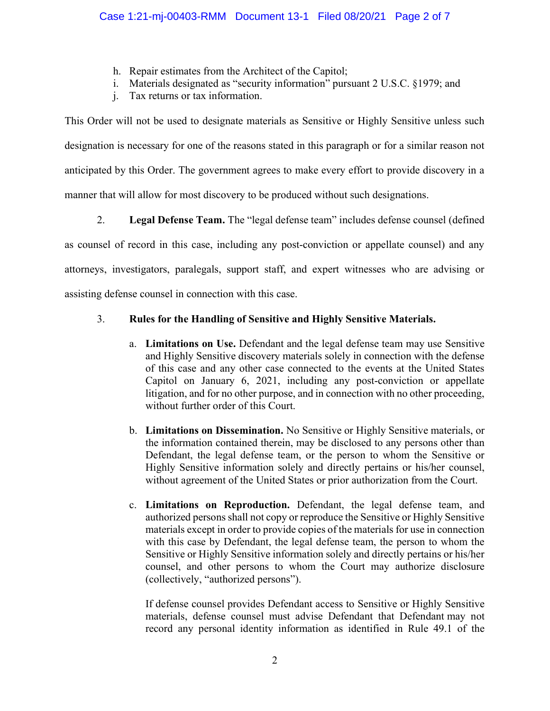- h. Repair estimates from the Architect of the Capitol;
- i. Materials designated as "security information" pursuant 2 U.S.C. §1979; and
- j. Tax returns or tax information.

This Order will not be used to designate materials as Sensitive or Highly Sensitive unless such designation is necessary for one of the reasons stated in this paragraph or for a similar reason not anticipated by this Order. The government agrees to make every effort to provide discovery in a manner that will allow for most discovery to be produced without such designations.

2. Legal Defense Team. The "legal defense team" includes defense counsel (defined as counsel of record in this case, including any post-conviction or appellate counsel) and any attorneys, investigators, paralegals, support staff, and expert witnesses who are advising or assisting defense counsel in connection with this case.

## 3. Rules for the Handling of Sensitive and Highly Sensitive Materials.

- a. Limitations on Use. Defendant and the legal defense team may use Sensitive and Highly Sensitive discovery materials solely in connection with the defense of this case and any other case connected to the events at the United States Capitol on January 6, 2021, including any post-conviction or appellate litigation, and for no other purpose, and in connection with no other proceeding, without further order of this Court.
- b. Limitations on Dissemination. No Sensitive or Highly Sensitive materials, or the information contained therein, may be disclosed to any persons other than Defendant, the legal defense team, or the person to whom the Sensitive or Highly Sensitive information solely and directly pertains or his/her counsel, without agreement of the United States or prior authorization from the Court.
- c. Limitations on Reproduction. Defendant, the legal defense team, and authorized persons shall not copy or reproduce the Sensitive or Highly Sensitive materials except in order to provide copies of the materials for use in connection with this case by Defendant, the legal defense team, the person to whom the Sensitive or Highly Sensitive information solely and directly pertains or his/her counsel, and other persons to whom the Court may authorize disclosure (collectively, "authorized persons").

If defense counsel provides Defendant access to Sensitive or Highly Sensitive materials, defense counsel must advise Defendant that Defendant may not record any personal identity information as identified in Rule 49.1 of the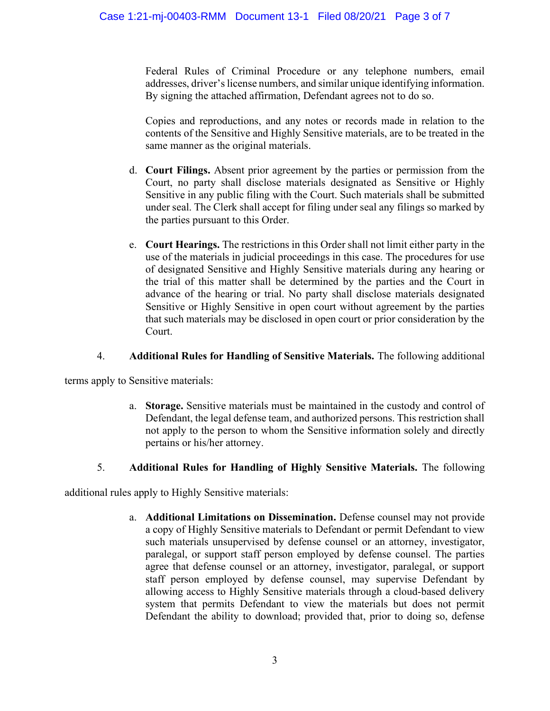Federal Rules of Criminal Procedure or any telephone numbers, email addresses, driver's license numbers, and similar unique identifying information. By signing the attached affirmation, Defendant agrees not to do so.

Copies and reproductions, and any notes or records made in relation to the contents of the Sensitive and Highly Sensitive materials, are to be treated in the same manner as the original materials.

- d. Court Filings. Absent prior agreement by the parties or permission from the Court, no party shall disclose materials designated as Sensitive or Highly Sensitive in any public filing with the Court. Such materials shall be submitted under seal. The Clerk shall accept for filing under seal any filings so marked by the parties pursuant to this Order.
- e. Court Hearings. The restrictions in this Order shall not limit either party in the use of the materials in judicial proceedings in this case. The procedures for use of designated Sensitive and Highly Sensitive materials during any hearing or the trial of this matter shall be determined by the parties and the Court in advance of the hearing or trial. No party shall disclose materials designated Sensitive or Highly Sensitive in open court without agreement by the parties that such materials may be disclosed in open court or prior consideration by the Court.

# 4. Additional Rules for Handling of Sensitive Materials. The following additional

terms apply to Sensitive materials:

a. Storage. Sensitive materials must be maintained in the custody and control of Defendant, the legal defense team, and authorized persons. This restriction shall not apply to the person to whom the Sensitive information solely and directly pertains or his/her attorney.

# 5. Additional Rules for Handling of Highly Sensitive Materials. The following

additional rules apply to Highly Sensitive materials:

a. Additional Limitations on Dissemination. Defense counsel may not provide a copy of Highly Sensitive materials to Defendant or permit Defendant to view such materials unsupervised by defense counsel or an attorney, investigator, paralegal, or support staff person employed by defense counsel. The parties agree that defense counsel or an attorney, investigator, paralegal, or support staff person employed by defense counsel, may supervise Defendant by allowing access to Highly Sensitive materials through a cloud-based delivery system that permits Defendant to view the materials but does not permit Defendant the ability to download; provided that, prior to doing so, defense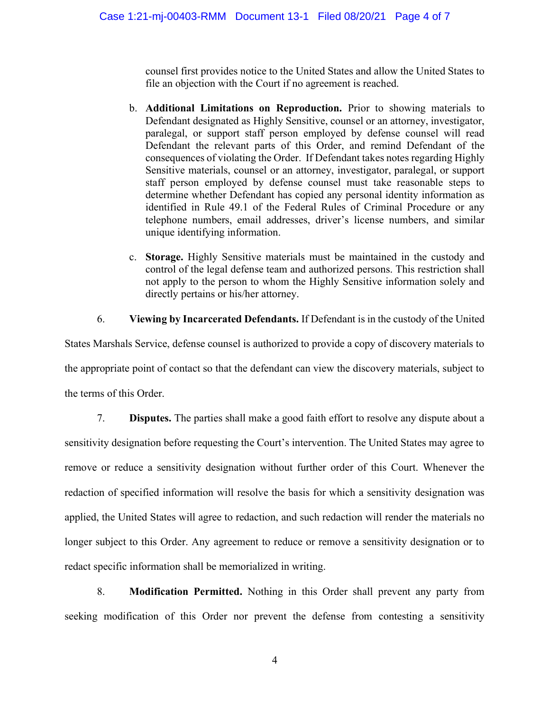counsel first provides notice to the United States and allow the United States to file an objection with the Court if no agreement is reached.

- b. Additional Limitations on Reproduction. Prior to showing materials to Defendant designated as Highly Sensitive, counsel or an attorney, investigator, paralegal, or support staff person employed by defense counsel will read Defendant the relevant parts of this Order, and remind Defendant of the consequences of violating the Order. If Defendant takes notes regarding Highly Sensitive materials, counsel or an attorney, investigator, paralegal, or support staff person employed by defense counsel must take reasonable steps to determine whether Defendant has copied any personal identity information as identified in Rule 49.1 of the Federal Rules of Criminal Procedure or any telephone numbers, email addresses, driver's license numbers, and similar unique identifying information.
- c. Storage. Highly Sensitive materials must be maintained in the custody and control of the legal defense team and authorized persons. This restriction shall not apply to the person to whom the Highly Sensitive information solely and directly pertains or his/her attorney.

## 6. Viewing by Incarcerated Defendants. If Defendant is in the custody of the United

States Marshals Service, defense counsel is authorized to provide a copy of discovery materials to the appropriate point of contact so that the defendant can view the discovery materials, subject to the terms of this Order.

7. Disputes. The parties shall make a good faith effort to resolve any dispute about a sensitivity designation before requesting the Court's intervention. The United States may agree to remove or reduce a sensitivity designation without further order of this Court. Whenever the redaction of specified information will resolve the basis for which a sensitivity designation was applied, the United States will agree to redaction, and such redaction will render the materials no longer subject to this Order. Any agreement to reduce or remove a sensitivity designation or to redact specific information shall be memorialized in writing.

8. Modification Permitted. Nothing in this Order shall prevent any party from seeking modification of this Order nor prevent the defense from contesting a sensitivity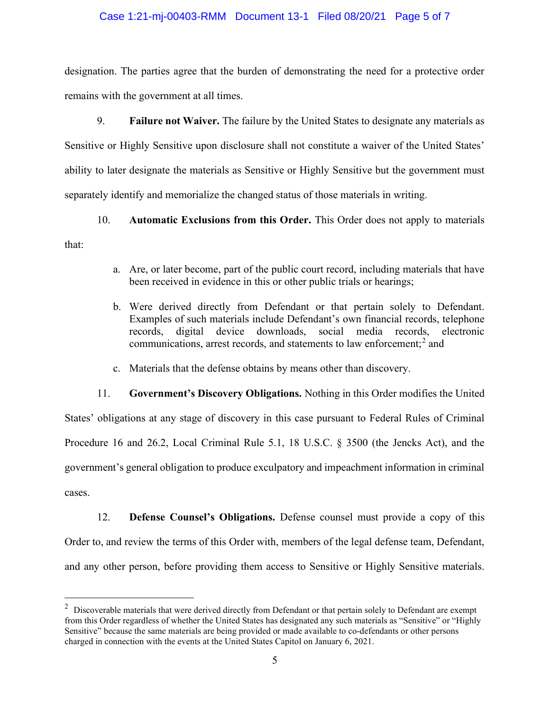### Case 1:21-mj-00403-RMM Document 13-1 Filed 08/20/21 Page 5 of 7

designation. The parties agree that the burden of demonstrating the need for a protective order remains with the government at all times.

9. Failure not Waiver. The failure by the United States to designate any materials as Sensitive or Highly Sensitive upon disclosure shall not constitute a waiver of the United States' ability to later designate the materials as Sensitive or Highly Sensitive but the government must separately identify and memorialize the changed status of those materials in writing.

10. Automatic Exclusions from this Order. This Order does not apply to materials that:

- a. Are, or later become, part of the public court record, including materials that have been received in evidence in this or other public trials or hearings;
- b. Were derived directly from Defendant or that pertain solely to Defendant. Examples of such materials include Defendant's own financial records, telephone records, digital device downloads, social media records, electronic communications, arrest records, and statements to law enforcement; $<sup>2</sup>$  and</sup>
- c. Materials that the defense obtains by means other than discovery.

11. Government's Discovery Obligations. Nothing in this Order modifies the United States' obligations at any stage of discovery in this case pursuant to Federal Rules of Criminal Procedure 16 and 26.2, Local Criminal Rule 5.1, 18 U.S.C. § 3500 (the Jencks Act), and the government's general obligation to produce exculpatory and impeachment information in criminal cases.

12. Defense Counsel's Obligations. Defense counsel must provide a copy of this Order to, and review the terms of this Order with, members of the legal defense team, Defendant, and any other person, before providing them access to Sensitive or Highly Sensitive materials.

 $2$  Discoverable materials that were derived directly from Defendant or that pertain solely to Defendant are exempt from this Order regardless of whether the United States has designated any such materials as "Sensitive" or "Highly Sensitive" because the same materials are being provided or made available to co-defendants or other persons charged in connection with the events at the United States Capitol on January 6, 2021.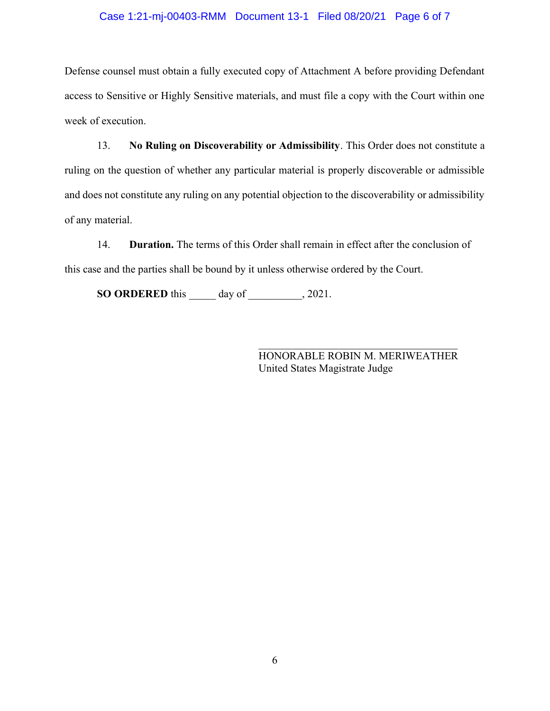### Case 1:21-mj-00403-RMM Document 13-1 Filed 08/20/21 Page 6 of 7

Defense counsel must obtain a fully executed copy of Attachment A before providing Defendant access to Sensitive or Highly Sensitive materials, and must file a copy with the Court within one week of execution.

13. No Ruling on Discoverability or Admissibility. This Order does not constitute a ruling on the question of whether any particular material is properly discoverable or admissible and does not constitute any ruling on any potential objection to the discoverability or admissibility of any material.

14. Duration. The terms of this Order shall remain in effect after the conclusion of this case and the parties shall be bound by it unless otherwise ordered by the Court.

SO ORDERED this day of 3021.

HONORABLE ROBIN M. MERIWEATHER United States Magistrate Judge